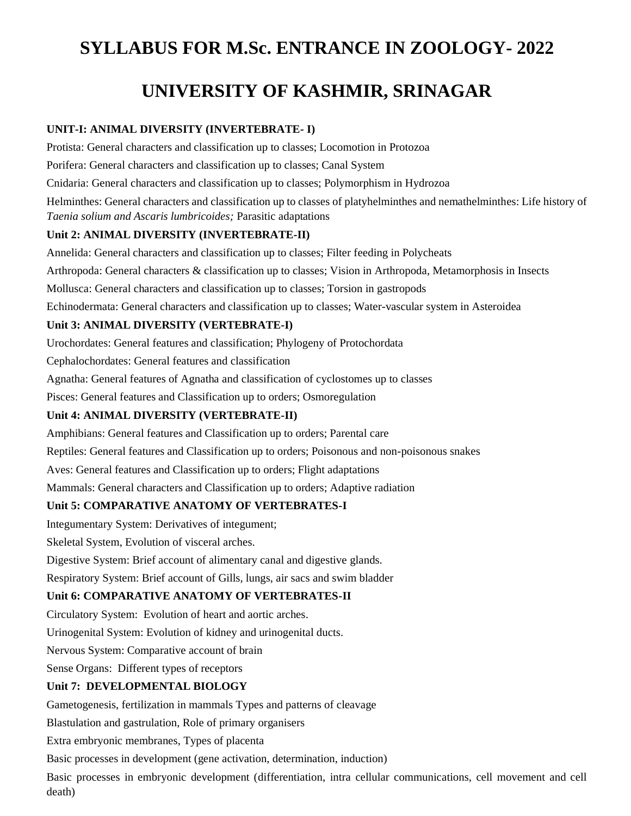# **SYLLABUS FOR M.Sc. ENTRANCE IN ZOOLOGY- 2022**

# **UNIVERSITY OF KASHMIR, SRINAGAR**

### **UNIT-I: ANIMAL DIVERSITY (INVERTEBRATE- I)**

Protista: General characters and classification up to classes; Locomotion in Protozoa

Porifera: General characters and classification up to classes; Canal System

Cnidaria: General characters and classification up to classes; Polymorphism in Hydrozoa

Helminthes: General characters and classification up to classes of platyhelminthes and nemathelminthes: Life history of *Taenia solium and Ascaris lumbricoides;* Parasitic adaptations

#### **Unit 2: ANIMAL DIVERSITY (INVERTEBRATE-II)**

Annelida: General characters and classification up to classes; Filter feeding in Polycheats

Arthropoda: General characters & classification up to classes; Vision in Arthropoda, Metamorphosis in Insects

Mollusca: General characters and classification up to classes; Torsion in gastropods

Echinodermata: General characters and classification up to classes; Water-vascular system in Asteroidea

### **Unit 3: ANIMAL DIVERSITY (VERTEBRATE-I)**

Urochordates: General features and classification; Phylogeny of Protochordata

Cephalochordates: General features and classification

Agnatha: General features of Agnatha and classification of cyclostomes up to classes

Pisces: General features and Classification up to orders; Osmoregulation

### **Unit 4: ANIMAL DIVERSITY (VERTEBRATE-II)**

Amphibians: General features and Classification up to orders; Parental care

Reptiles: General features and Classification up to orders; Poisonous and non-poisonous snakes

Aves: General features and Classification up to orders; Flight adaptations

Mammals: General characters and Classification up to orders; Adaptive radiation

### **Unit 5: COMPARATIVE ANATOMY OF VERTEBRATES-I**

Integumentary System: Derivatives of integument;

Skeletal System, Evolution of visceral arches.

Digestive System: Brief account of alimentary canal and digestive glands.

Respiratory System: Brief account of Gills, lungs, air sacs and swim bladder

### **Unit 6: COMPARATIVE ANATOMY OF VERTEBRATES-II**

Circulatory System: Evolution of heart and aortic arches.

Urinogenital System: Evolution of kidney and urinogenital ducts.

Nervous System: Comparative account of brain

Sense Organs: Different types of receptors

### **Unit 7: DEVELOPMENTAL BIOLOGY**

Gametogenesis, fertilization in mammals Types and patterns of cleavage

Blastulation and gastrulation, Role of primary organisers

Extra embryonic membranes, Types of placenta

Basic processes in development (gene activation, determination, induction)

Basic processes in embryonic development (differentiation, intra cellular communications, cell movement and cell death)